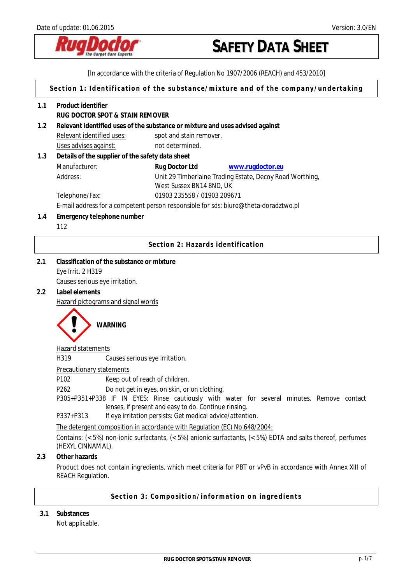

[In accordance with the criteria of Regulation No 1907/2006 (REACH) and 453/2010]

**Section 1: Identification of the substance/mixture and of the company/undertaking** 

| 1.1 | Product identifier<br>RUG DOCTOR SPOT & STAIN REMOVER                         |                                                                                                             |  |
|-----|-------------------------------------------------------------------------------|-------------------------------------------------------------------------------------------------------------|--|
| 1.2 | Relevant identified uses of the substance or mixture and uses advised against |                                                                                                             |  |
|     | Relevant identified uses:                                                     | spot and stain remover.                                                                                     |  |
|     | Uses advises against:                                                         | not determined.                                                                                             |  |
| 1.3 | Details of the supplier of the safety data sheet                              |                                                                                                             |  |
|     | Manufacturer:                                                                 | Rug Doctor Ltd<br>www.rugdoctor.eu                                                                          |  |
|     | Address:                                                                      | Unit 29 Timberlaine Trading Estate, Decoy Road Worthing,                                                    |  |
|     |                                                                               | West Sussex BN14 8ND, UK                                                                                    |  |
|     | Telephone/Fax:                                                                | 01903 235558 / 01903 209671                                                                                 |  |
|     |                                                                               | E-mail address for a competent person responsible for sds: biuro@theta-doradztwo.pl                         |  |
| 1.4 | Emergency telephone number                                                    |                                                                                                             |  |
|     | 112                                                                           |                                                                                                             |  |
|     |                                                                               | Section 2: Hazards identification                                                                           |  |
| 2.1 | Classification of the substance or mixture                                    |                                                                                                             |  |
|     | Eye Irrit. 2 H319                                                             |                                                                                                             |  |
|     | Causes serious eye irritation.                                                |                                                                                                             |  |
| 2.2 | Label elements                                                                |                                                                                                             |  |
|     | Hazard pictograms and signal words                                            |                                                                                                             |  |
|     |                                                                               |                                                                                                             |  |
|     | <b>WARNING</b>                                                                |                                                                                                             |  |
|     | Hazard statements                                                             |                                                                                                             |  |
|     | H319                                                                          | Causes serious eye irritation.                                                                              |  |
|     | <b>Precautionary statements</b>                                               |                                                                                                             |  |
|     | P102                                                                          | Keep out of reach of children.                                                                              |  |
|     | P <sub>262</sub>                                                              | Do not get in eyes, on skin, or on clothing.                                                                |  |
|     |                                                                               | P305+P351+P338 IF IN EYES: Rinse cautiously with water for several minutes. Remove contact                  |  |
|     |                                                                               | lenses, if present and easy to do. Continue rinsing.                                                        |  |
|     | P337+P313                                                                     | If eye irritation persists: Get medical advice/attention.                                                   |  |
|     | The detergent composition in accordance with Regulation (EC) No 648/2004:     |                                                                                                             |  |
|     | (HEXYL CINNAMAL).                                                             | Contains: (< 5%) non-ionic surfactants, (< 5%) anionic surfactants, (< 5%) EDTA and salts thereof, perfumes |  |
| 2.3 | Other hazards                                                                 |                                                                                                             |  |
|     | <b>REACH Regulation.</b>                                                      | Product does not contain ingredients, which meet criteria for PBT or vPvB in accordance with Annex XIII of  |  |
|     |                                                                               | Section 3: Composition/information on ingredients                                                           |  |

**3.1 Substances** 

Not applicable.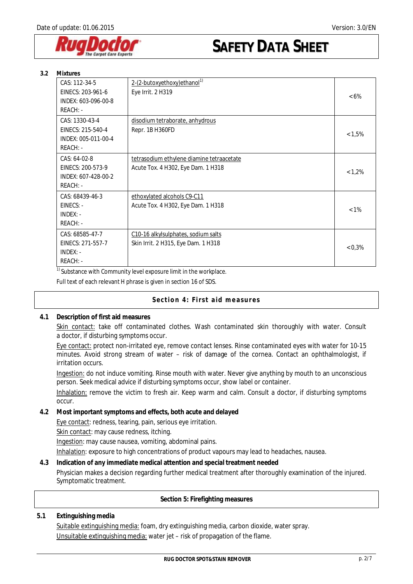

| 3.2 | <b>Mixtures</b>                                                        |                                                                                 |         |  |
|-----|------------------------------------------------------------------------|---------------------------------------------------------------------------------|---------|--|
|     | CAS: 112-34-5<br>EINECS: 203-961-6<br>INDEX: 603-096-00-8<br>REACH: -  | 2-(2-butoxyethoxy) ethanol <sup>1)</sup><br>Eye Irrit. 2 H319                   | $<6\%$  |  |
|     | CAS: 1330-43-4<br>EINECS: 215-540-4<br>INDEX: 005-011-00-4<br>REACH: - | disodium tetraborate, anhydrous<br>Repr. 1B H360FD                              | < 1,5%  |  |
|     | CAS: 64-02-8<br>EINECS: 200-573-9<br>INDEX: 607-428-00-2<br>REACH: -   | tetrasodium ethylene diamine tetraacetate<br>Acute Tox. 4 H302, Eye Dam. 1 H318 | < 1,2%  |  |
|     | CAS: 68439-46-3<br>EINECS: -<br>INDEX: -<br>REACH: -                   | ethoxylated alcohols C9-C11<br>Acute Tox. 4 H302, Eye Dam. 1 H318               | $< 1\%$ |  |
|     | CAS: 68585-47-7<br>EINECS: 271-557-7<br>INDEX: -<br>REACH: -           | C10-16 alkylsulphates, sodium salts<br>Skin Irrit. 2 H315, Eye Dam. 1 H318      | 0,3%    |  |

 $1)$  Substance with Community level exposure limit in the workplace.

Full text of each relevant H phrase is given in section 16 of SDS.

### **Section 4: First aid measures**

**4.1 Description of first aid measures** 

Skin contact: take off contaminated clothes. Wash contaminated skin thoroughly with water. Consult a doctor, if disturbing symptoms occur.

Eye contact: protect non-irritated eye, remove contact lenses. Rinse contaminated eyes with water for 10-15 minutes. Avoid strong stream of water – risk of damage of the cornea. Contact an ophthalmologist, if irritation occurs.

Ingestion: do not induce vomiting. Rinse mouth with water. Never give anything by mouth to an unconscious person. Seek medical advice if disturbing symptoms occur, show label or container.

Inhalation: remove the victim to fresh air. Keep warm and calm. Consult a doctor, if disturbing symptoms occur.

**4.2 Most important symptoms and effects, both acute and delayed**  Eye contact: redness, tearing, pain, serious eye irritation. Skin contact: may cause redness, itching. Ingestion: may cause nausea, vomiting, abdominal pains.

Inhalation: exposure to high concentrations of product vapours may lead to headaches, nausea.

**4.3 Indication of any immediate medical attention and special treatment needed**

Physician makes a decision regarding further medical treatment after thoroughly examination of the injured. Symptomatic treatment.

### **Section 5: Firefighting measures**

## **5.1 Extinguishing media**

Suitable extinguishing media: foam, dry extinguishing media, carbon dioxide, water spray. Unsuitable extinguishing media: water jet – risk of propagation of the flame.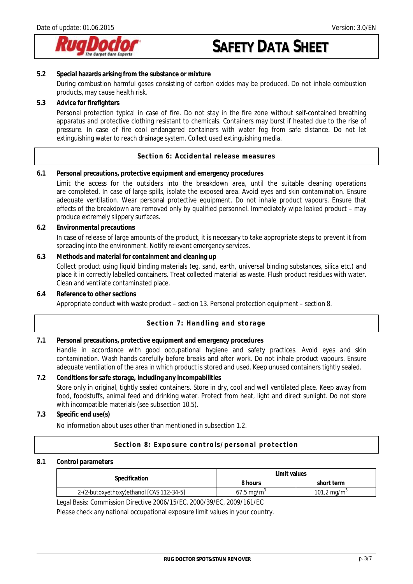

- **5.2 Special hazards arising from the substance or mixture**  During combustion harmful gases consisting of carbon oxides may be produced. Do not inhale combustion products, may cause health risk.
- **5.3 Advice for firefighters**

Personal protection typical in case of fire. Do not stay in the fire zone without self-contained breathing apparatus and protective clothing resistant to chemicals. Containers may burst if heated due to the rise of pressure. In case of fire cool endangered containers with water fog from safe distance. Do not let extinguishing water to reach drainage system. Collect used extinguishing media.

**Section 6: Accidental release measures** 

**6.1 Personal precautions, protective equipment and emergency procedures** 

Limit the access for the outsiders into the breakdown area, until the suitable cleaning operations are completed. In case of large spills, isolate the exposed area. Avoid eyes and skin contamination. Ensure adequate ventilation. Wear personal protective equipment. Do not inhale product vapours. Ensure that effects of the breakdown are removed only by qualified personnel. Immediately wipe leaked product – may produce extremely slippery surfaces.

- **6.2 Environmental precautions**  In case of release of large amounts of the product, it is necessary to take appropriate steps to prevent it from spreading into the environment. Notify relevant emergency services.
- **6.3 Methods and material for containment and cleaning up**

Collect product using liquid binding materials (eg. sand, earth, universal binding substances, silica etc.) and place it in correctly labelled containers. Treat collected material as waste. Flush product residues with water. Clean and ventilate contaminated place.

**6.4 Reference to other sections**

Appropriate conduct with waste product – section 13. Personal protection equipment – section 8.

### **Section 7: Handling and storage**

**7.1 Personal precautions, protective equipment and emergency procedures**  Handle in accordance with good occupational hygiene and safety practices. Avoid eyes and skin contamination. Wash hands carefully before breaks and after work. Do not inhale product vapours. Ensure adequate ventilation of the area in which product is stored and used. Keep unused containers tightly sealed.

**7.2 Conditions for safe storage, including any incompabilities**  Store only in original, tightly sealed containers. Store in dry, cool and well ventilated place. Keep away from food, foodstuffs, animal feed and drinking water. Protect from heat, light and direct sunlight. Do not store with incompatible materials (see subsection 10.5).

**7.3 Specific end use(s)** 

No information about uses other than mentioned in subsection 1.2.

#### **Section 8: Exposure controls/personal protection**

### **8.1 Control parameters**

|                                          | Limit values          |                         |
|------------------------------------------|-----------------------|-------------------------|
| Specification                            | 8 hours               | short term              |
| 2-(2-butoxyethoxy)ethanol [CAS 112-34-5] | $67.5 \text{ mg/m}^3$ | 101,2 mg/m <sup>3</sup> |

Legal Basis: Commission Directive 2006/15/EC, 2000/39/EC, 2009/161/EC

Please check any national occupational exposure limit values in your country.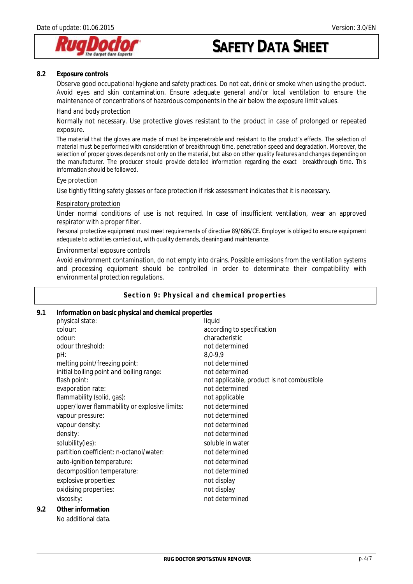

#### **8.2 Exposure controls**

Observe good occupational hygiene and safety practices. Do not eat, drink or smoke when using the product. Avoid eyes and skin contamination. Ensure adequate general and/or local ventilation to ensure the maintenance of concentrations of hazardous components in the air below the exposure limit values.

#### Hand and body protection

Normally not necessary. Use protective gloves resistant to the product in case of prolonged or repeated exposure.

The material that the gloves are made of must be impenetrable and resistant to the product's effects. The selection of material must be performed with consideration of breakthrough time, penetration speed and degradation. Moreover, the selection of proper gloves depends not only on the material, but also on other quality features and changes depending on the manufacturer. The producer should provide detailed information regarding the exact breakthrough time. This information should be followed.

#### Eye protection

Use tightly fitting safety glasses or face protection if risk assessment indicates that it is necessary.

#### Respiratory protection

Under normal conditions of use is not required. In case of insufficient ventilation, wear an approved respirator with a proper filter.

Personal protective equipment must meet requirements of directive 89/686/CE. Employer is obliged to ensure equipment adequate to activities carried out, with quality demands, cleaning and maintenance.

#### Environmental exposure controls

Avoid environment contamination, do not empty into drains. Possible emissions from the ventilation systems and processing equipment should be controlled in order to determinate their compatibility with environmental protection regulations.

#### **Section 9: Physical and chemical properties**

### **9.1 Information on basic physical and chemical properties**

|                                               | liquid                                     |
|-----------------------------------------------|--------------------------------------------|
| colour:                                       | according to specification                 |
| odour:                                        | characteristic                             |
| odour threshold:                              | not determined                             |
| pH:                                           | $8,0-9,9$                                  |
| melting point/freezing point:                 | not determined                             |
| initial boiling point and boiling range:      | not determined                             |
| flash point:                                  | not applicable, product is not combustible |
| evaporation rate:                             | not determined                             |
| flammability (solid, gas):                    | not applicable                             |
| upper/lower flammability or explosive limits: | not determined                             |
| vapour pressure:                              | not determined                             |
| vapour density:                               | not determined                             |
| density:                                      | not determined                             |
| solubility(ies):                              | soluble in water                           |
| partition coefficient: n-octanol/water:       | not determined                             |
| auto-ignition temperature:                    | not determined                             |
| decomposition temperature:                    | not determined                             |
| explosive properties:                         | not display                                |
|                                               | not display                                |
| viscosity:                                    | not determined                             |
| Other information                             |                                            |
| No additional data.                           |                                            |
|                                               | physical state:<br>oxidising properties:   |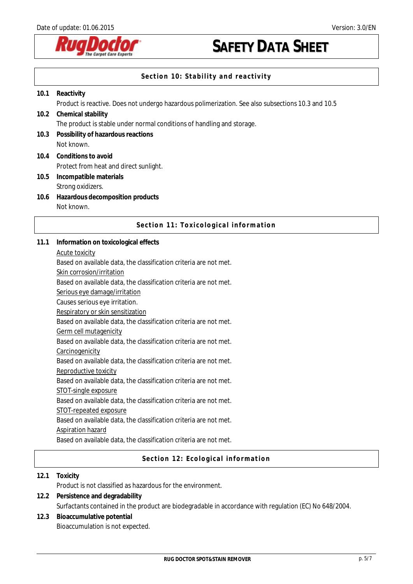

## **Section 10: Stability and reactivity**

| 10.1 | Reactivity                                                                                         |  |  |
|------|----------------------------------------------------------------------------------------------------|--|--|
|      | Product is reactive. Does not undergo hazardous polimerization. See also subsections 10.3 and 10.5 |  |  |
| 10.2 | Chemical stability                                                                                 |  |  |
|      | The product is stable under normal conditions of handling and storage.                             |  |  |
| 10.3 | Possibility of hazardous reactions                                                                 |  |  |
|      | Not known.                                                                                         |  |  |
| 10.4 | Conditions to avoid                                                                                |  |  |
|      | Protect from heat and direct sunlight.                                                             |  |  |
| 10.5 | Incompatible materials                                                                             |  |  |
|      | Strong oxidizers.                                                                                  |  |  |
| 10.6 | Hazardous decomposition products                                                                   |  |  |
|      | Not known.                                                                                         |  |  |

## **Section 11: Toxicological information**

- **11.1 Information on toxicological effects** 
	- Acute toxicity

Based on available data, the classification criteria are not met.

Skin corrosion/irritation

Based on available data, the classification criteria are not met.

Serious eye damage/irritation

Causes serious eye irritation.

Respiratory or skin sensitization

Based on available data, the classification criteria are not met.

Germ cell mutagenicity

Based on available data, the classification criteria are not met.

**Carcinogenicity** 

Based on available data, the classification criteria are not met.

Reproductive toxicity

Based on available data, the classification criteria are not met.

STOT-single exposure

Based on available data, the classification criteria are not met.

STOT-repeated exposure

Based on available data, the classification criteria are not met.

Aspiration hazard

Based on available data, the classification criteria are not met.

### **Section 12: Ecological information**

**12.1 Toxicity**  Product is not classified as hazardous for the environment. **12.2 Persistence and degradability** 

- Surfactants contained in the product are biodegradable in accordance with regulation (EC) No 648/2004.
- **12.3 Bioaccumulative potential**  Bioaccumulation is not expected.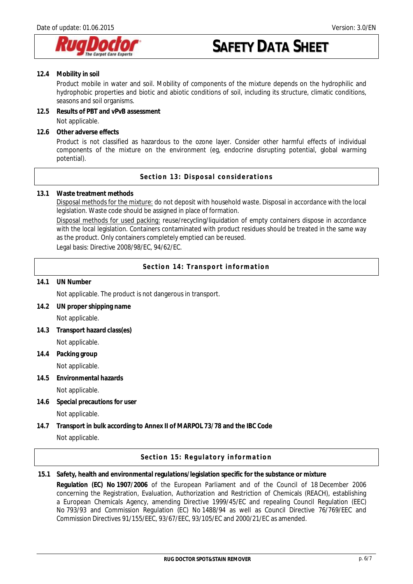

**12.4 Mobility in soil** 

Product mobile in water and soil. Mobility of components of the mixture depends on the hydrophilic and hydrophobic properties and biotic and abiotic conditions of soil, including its structure, climatic conditions, seasons and soil organisms.

**12.5 Results of PBT and vPvB assessment**  Not applicable.

**12.6 Other adverse effects** 

Product is not classified as hazardous to the ozone layer. Consider other harmful effects of individual components of the mixture on the environment (eg, endocrine disrupting potential, global warming potential).

**Section 13: Disposal considerations** 

**13.1 Waste treatment methods** 

Disposal methods for the mixture: do not deposit with household waste. Disposal in accordance with the local legislation. Waste code should be assigned in place of formation.

Disposal methods for used packing: reuse/recycling/liquidation of empty containers dispose in accordance with the local legislation. Containers contaminated with product residues should be treated in the same way as the product. Only containers completely emptied can be reused.

Legal basis: Directive 2008/98/EC, 94/62/EC.

**Section 14: Transport information** 

**14.1 UN Number**

Not applicable. The product is not dangerous in transport.

- **14.2 UN proper shipping name**  Not applicable.
- **14.3 Transport hazard class(es)**  Not applicable.
- **14.4 Packing group**  Not applicable.
- **14.5 Environmental hazards**

Not applicable.

- **14.6 Special precautions for user**  Not applicable.
- **14.7 Transport in bulk according to Annex II of MARPOL 73/78 and the IBC Code**  Not applicable.

**Section 15: Regulatory information** 

**15.1 Safety, health and environmental regulations/legislation specific for the substance or mixture Regulation (EC) No 1907/2006** of the European Parliament and of the Council of 18 December 2006 concerning the Registration, Evaluation, Authorization and Restriction of Chemicals (REACH), establishing a European Chemicals Agency, amending Directive 1999/45/EC and repealing Council Regulation (EEC) No 793/93 and Commission Regulation (EC) No 1488/94 as well as Council Directive 76/769/EEC and Commission Directives 91/155/EEC, 93/67/EEC, 93/105/EC and 2000/21/EC as amended.